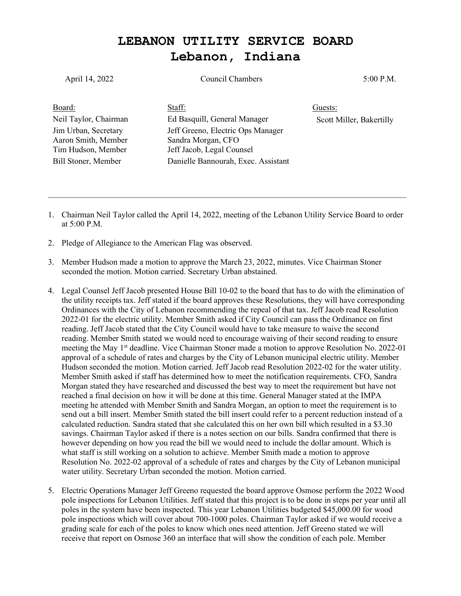## **LEBANON UTILITY SERVICE BOARD Lebanon, Indiana**

| April 14, 2022                                                                           | Council Chambers                                                                                                            | 5:00 P.M.                |
|------------------------------------------------------------------------------------------|-----------------------------------------------------------------------------------------------------------------------------|--------------------------|
| Board:                                                                                   | Staff:                                                                                                                      | Guests:                  |
| Neil Taylor, Chairman                                                                    | Ed Basquill, General Manager                                                                                                | Scott Miller, Bakertilly |
| Jim Urban, Secretary<br>Aaron Smith, Member<br>Tim Hudson, Member<br>Bill Stoner, Member | Jeff Greeno, Electric Ops Manager<br>Sandra Morgan, CFO<br>Jeff Jacob, Legal Counsel<br>Danielle Bannourah, Exec. Assistant |                          |

- 1. Chairman Neil Taylor called the April 14, 2022, meeting of the Lebanon Utility Service Board to order at 5:00 P.M.
- 2. Pledge of Allegiance to the American Flag was observed.
- 3. Member Hudson made a motion to approve the March 23, 2022, minutes. Vice Chairman Stoner seconded the motion. Motion carried. Secretary Urban abstained.
- 4. Legal Counsel Jeff Jacob presented House Bill 10-02 to the board that has to do with the elimination of the utility receipts tax. Jeff stated if the board approves these Resolutions, they will have corresponding Ordinances with the City of Lebanon recommending the repeal of that tax. Jeff Jacob read Resolution 2022-01 for the electric utility. Member Smith asked if City Council can pass the Ordinance on first reading. Jeff Jacob stated that the City Council would have to take measure to waive the second reading. Member Smith stated we would need to encourage waiving of their second reading to ensure meeting the May 1<sup>st</sup> deadline. Vice Chairman Stoner made a motion to approve Resolution No. 2022-01 approval of a schedule of rates and charges by the City of Lebanon municipal electric utility. Member Hudson seconded the motion. Motion carried. Jeff Jacob read Resolution 2022-02 for the water utility. Member Smith asked if staff has determined how to meet the notification requirements. CFO, Sandra Morgan stated they have researched and discussed the best way to meet the requirement but have not reached a final decision on how it will be done at this time. General Manager stated at the IMPA meeting he attended with Member Smith and Sandra Morgan, an option to meet the requirement is to send out a bill insert. Member Smith stated the bill insert could refer to a percent reduction instead of a calculated reduction. Sandra stated that she calculated this on her own bill which resulted in a \$3.30 savings. Chairman Taylor asked if there is a notes section on our bills. Sandra confirmed that there is however depending on how you read the bill we would need to include the dollar amount. Which is what staff is still working on a solution to achieve. Member Smith made a motion to approve Resolution No. 2022-02 approval of a schedule of rates and charges by the City of Lebanon municipal water utility. Secretary Urban seconded the motion. Motion carried.
- 5. Electric Operations Manager Jeff Greeno requested the board approve Osmose perform the 2022 Wood pole inspections for Lebanon Utilities. Jeff stated that this project is to be done in steps per year until all poles in the system have been inspected. This year Lebanon Utilities budgeted \$45,000.00 for wood pole inspections which will cover about 700-1000 poles. Chairman Taylor asked if we would receive a grading scale for each of the poles to know which ones need attention. Jeff Greeno stated we will receive that report on Osmose 360 an interface that will show the condition of each pole. Member